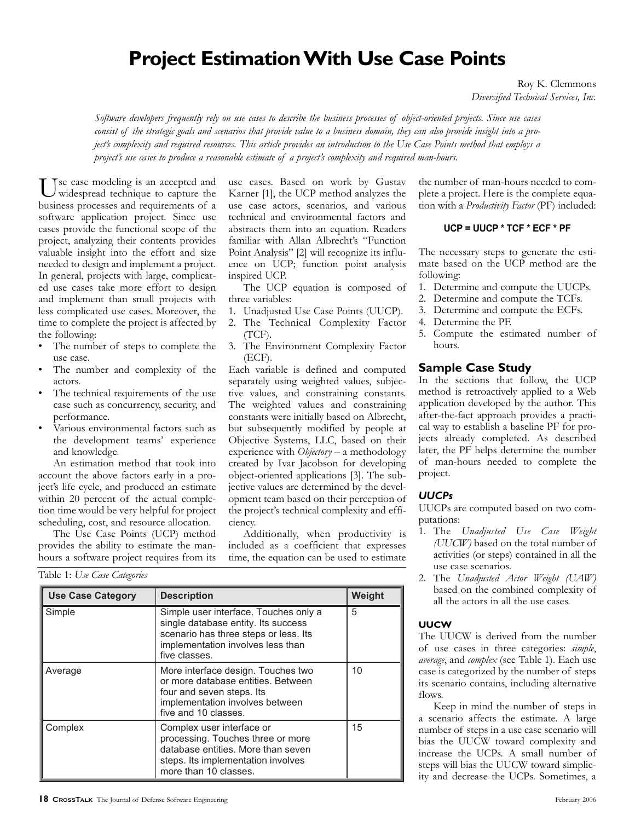# **Project Estimation With Use Case Points**

Roy K. Clemmons *Diversified Technical Services, Inc.*

*Software developers frequently rely on use cases to describe the business processes of object-oriented projects. Since use cases consist of the strategic goals and scenarios that provide value to a business domain, they can also provide insight into a project's complexity and required resources. This article provides an introduction to the Use Case Points method that employs a project's use cases to produce a reasonable estimate of a project's complexity and required man-hours.*

Tse case modeling is an accepted and widespread technique to capture the business processes and requirements of a software application project. Since use cases provide the functional scope of the project, analyzing their contents provides valuable insight into the effort and size needed to design and implement a project. In general, projects with large, complicated use cases take more effort to design and implement than small projects with less complicated use cases. Moreover, the time to complete the project is affected by the following:

- The number of steps to complete the use case.
- The number and complexity of the actors.
- The technical requirements of the use case such as concurrency, security, and performance.
- Various environmental factors such as the development teams' experience and knowledge.

use cases. Based on work by Gustav Karner [1], the UCP method analyzes the use case actors, scenarios, and various technical and environmental factors and abstracts them into an equation. Readers familiar with Allan Albrecht's "Function Point Analysis" [2] will recognize its influence on UCP; function point analysis inspired UCP.

The UCP equation is composed of three variables:

- 1. Unadjusted Use Case Points (UUCP).
- 2. The Technical Complexity Factor (TCF).
- 3. The Environment Complexity Factor (ECF).

Each variable is defined and computed separately using weighted values, subjective values, and constraining constants. The weighted values and constraining constants were initially based on Albrecht, but subsequently modified by people at Objective Systems, LLC, based on their experience with *Objectory* – a methodology created by Ivar Jacobson for developing object-oriented applications [3]. The subjective values are determined by the development team based on their perception of the project's technical complexity and efficiency. example the sigm and implement aproject. ence on UCP, functioned and implement aprojects with large, complicat-<br>inspired UCP equation and general, projects with large, complicat-<br>inspired UCP equation and general to desig

| actors.<br>The technical requirements of the use<br>$\bullet$<br>case such as concurrency, security, and<br>performance.<br>Various environmental factors such as<br>the development teams' experience<br>and knowledge.<br>An estimation method that took into<br>account the above factors early in a pro-<br>ject's life cycle, and produced an estimate<br>within 20 percent of the actual comple-<br>tion time would be very helpful for project<br>scheduling, cost, and resource allocation.<br>The Use Case Points (UCP) method<br>provides the ability to estimate the man-<br>hours a software project requires from its |                           | separately using weighted values, subjec<br>tive values, and constraining constants<br>The weighted values and constraining<br>constants were initially based on Albrecht<br>but subsequently modified by people a<br>Objective Systems, LLC, based on thei<br>experience with Objectory - a methodology<br>created by Ivar Jacobson for developing<br>object-oriented applications [3]. The sub<br>jective values are determined by the devel<br>opment team based on their perception o<br>the project's technical complexity and effi<br>ciency.<br>Additionally, when productivity is<br>included as a coefficient that expresse<br>time, the equation can be used to estimate |        |  |  |
|------------------------------------------------------------------------------------------------------------------------------------------------------------------------------------------------------------------------------------------------------------------------------------------------------------------------------------------------------------------------------------------------------------------------------------------------------------------------------------------------------------------------------------------------------------------------------------------------------------------------------------|---------------------------|------------------------------------------------------------------------------------------------------------------------------------------------------------------------------------------------------------------------------------------------------------------------------------------------------------------------------------------------------------------------------------------------------------------------------------------------------------------------------------------------------------------------------------------------------------------------------------------------------------------------------------------------------------------------------------|--------|--|--|
| Table 1: Use Case Categories                                                                                                                                                                                                                                                                                                                                                                                                                                                                                                                                                                                                       |                           |                                                                                                                                                                                                                                                                                                                                                                                                                                                                                                                                                                                                                                                                                    |        |  |  |
| <b>Use Case Category</b>                                                                                                                                                                                                                                                                                                                                                                                                                                                                                                                                                                                                           | <b>Description</b>        |                                                                                                                                                                                                                                                                                                                                                                                                                                                                                                                                                                                                                                                                                    | Weight |  |  |
| Simple                                                                                                                                                                                                                                                                                                                                                                                                                                                                                                                                                                                                                             | five classes.             | Simple user interface. Touches only a<br>single database entity. Its success<br>scenario has three steps or less. Its<br>implementation involves less than                                                                                                                                                                                                                                                                                                                                                                                                                                                                                                                         |        |  |  |
| Average                                                                                                                                                                                                                                                                                                                                                                                                                                                                                                                                                                                                                            |                           | More interface design. Touches two<br>or more database entities. Between<br>four and seven steps. Its<br>implementation involves between<br>five and 10 classes.                                                                                                                                                                                                                                                                                                                                                                                                                                                                                                                   |        |  |  |
| Complex                                                                                                                                                                                                                                                                                                                                                                                                                                                                                                                                                                                                                            | Complex user interface or | 15                                                                                                                                                                                                                                                                                                                                                                                                                                                                                                                                                                                                                                                                                 |        |  |  |

the number of man-hours needed to complete a project. Here is the complete equation with a *Productivity Factor* (PF) included:

## **UCP = UUCP \* TCF \* ECF \* PF**

The necessary steps to generate the estimate based on the UCP method are the following:

- 1. Determine and compute the UUCPs.
- 2. Determine and compute the TCFs.
- 3. Determine and compute the ECFs.
- 4. Determine the PF.
- 5. Compute the estimated number of hours.

### **Sample Case Study**

In the sections that follow, the UCP method is retroactively applied to a Web application developed by the author. This after-the-fact approach provides a practical way to establish a baseline PF for projects already completed. As described later, the PF helps determine the number of man-hours needed to complete the project.

## *UUCPs*

UUCPs are computed based on two computations:

- 1. The *Unadjusted Use Case Weight (UUCW)* based on the total number of activities (or steps) contained in all the use case scenarios.
- 2. The *Unadjusted Actor Weight (UAW)* based on the combined complexity of all the actors in all the use cases.

#### **UUCW**

The UUCW is derived from the number of use cases in three categories: *simple*, *average*, and *complex* (see Table 1). Each use case is categorized by the number of steps its scenario contains, including alternative flows.

Keep in mind the number of steps in a scenario affects the estimate. A large number of steps in a use case scenario will bias the UUCW toward complexity and increase the UCPs. A small number of steps will bias the UUCW toward simplicity and decrease the UCPs. Sometimes, a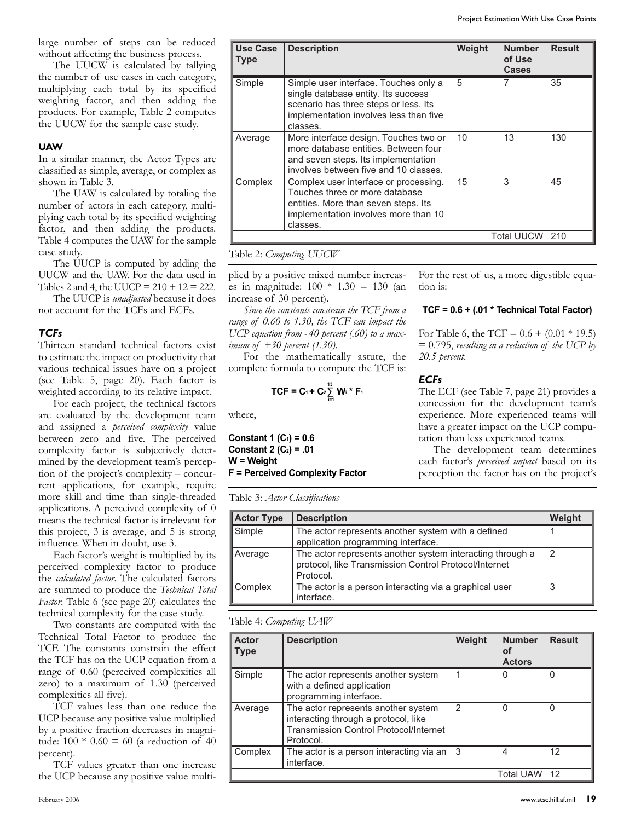large number of steps can be reduced without affecting the business process.

The UUCW is calculated by tallying the number of use cases in each category, multiplying each total by its specified weighting factor, and then adding the products. For example, Table 2 computes the UUCW for the sample case study.

## **UAW**

In a similar manner, the Actor Types are classified as simple, average, or complex as shown in Table 3.

The UAW is calculated by totaling the number of actors in each category, multiplying each total by its specified weighting factor, and then adding the products. Table 4 computes the UAW for the sample case study.

The UUCP is computed by adding the UUCW and the UAW. For the data used in Tables 2 and 4, the UUCP =  $210 + 12 = 222$ .

The UUCP is *unadjusted* because it does not account for the TCFs and ECFs.

## *TCFs*

Thirteen standard technical factors exist to estimate the impact on productivity that various technical issues have on a project (see Table 5, page 20). Each factor is weighted according to its relative impact.

For each project, the technical factors are evaluated by the development team and assigned a *perceived complexity* value between zero and five. The perceived complexity factor is subjectively determined by the development team's perception of the project's complexity – concurrent applications, for example, require more skill and time than single-threaded applications. A perceived complexity of 0 means the technical factor is irrelevant for this project, 3 is average, and 5 is strong influence. When in doubt, use 3.

Each factor's weight is multiplied by its perceived complexity factor to produce the *calculated factor*. The calculated factors are summed to produce the *Technical Total Factor*. Table 6 (see page 20) calculates the technical complexity for the case study.

Two constants are computed with the Technical Total Factor to produce the TCF. The constants constrain the effect the TCF has on the UCP equation from a range of 0.60 (perceived complexities all zero) to a maximum of 1.30 (perceived complexities all five).

TCF values less than one reduce the UCP because any positive value multiplied by a positive fraction decreases in magnitude:  $100 * 0.60 = 60$  (a reduction of 40 percent).

TCF values greater than one increase the UCP because any positive value multi-

|                                |                                                                                                                                                                                                                                         |                                                                                 |        |                                         | Project Estimation With Use Case Points                                                            |
|--------------------------------|-----------------------------------------------------------------------------------------------------------------------------------------------------------------------------------------------------------------------------------------|---------------------------------------------------------------------------------|--------|-----------------------------------------|----------------------------------------------------------------------------------------------------|
| <b>Use Case</b><br><b>Type</b> | <b>Description</b>                                                                                                                                                                                                                      |                                                                                 | Weight | <b>Number</b><br>of Use<br><b>Cases</b> | <b>Result</b>                                                                                      |
| Simple                         | single database entity. Its success<br>scenario has three steps or less. Its<br>classes.                                                                                                                                                | Simple user interface. Touches only a<br>implementation involves less than five |        |                                         | 35                                                                                                 |
| Average                        | More interface design. Touches two or<br>more database entities. Between four<br>and seven steps. Its implementation<br>involves between five and 10 classes.                                                                           |                                                                                 | 10     | 13                                      | 130                                                                                                |
| Complex                        | Complex user interface or processing.<br>Touches three or more database<br>entities. More than seven steps. Its<br>implementation involves more than 10<br>classes.                                                                     |                                                                                 |        |                                         | 45                                                                                                 |
|                                |                                                                                                                                                                                                                                         |                                                                                 |        | Total UUCW   210                        |                                                                                                    |
| increase of 30 percent).       | Table 2: <i>Computing UUCW</i><br>plied by a positive mixed number increas-<br>es in magnitude: $100 * 1.30 = 130$ (an<br>Since the constants constrain the TCF from a                                                                  | tion is:                                                                        |        |                                         | For the rest of us, a more digestible equa-<br>$TCF = 0.6 + (.01 * Technical Total Factor)$        |
|                                | range of 0.60 to 1.30, the TCF can impact the<br>UCP equation from -40 percent (.60) to a max-<br>imum of +30 percent (1.30).<br>For the mathematically astute, the<br>complete formula to compute the TCF is:                          | 20.5 percent.                                                                   |        |                                         | For Table 6, the TCF = $0.6 + (0.01 * 19.5)$<br>$= 0.795$ , resulting in a reduction of the UCP by |
| where,                         | <b>ECFs</b><br>TCF = C <sub>1</sub> + C <sub>2</sub> $\sum_{i=1}^{13}$ W <sub>i</sub> * F <sub>1</sub><br>The ECF (see Table 7, page 21) provides a<br>concession for the development team's<br>experience. More experienced teams will |                                                                                 |        |                                         |                                                                                                    |
| $Constant 1 (C1) = 0.6$        |                                                                                                                                                                                                                                         |                                                                                 |        | tation than less experienced teams.     | have a greater impact on the UCP compu-                                                            |

## Table 2: *Computing UUCW* Table 2 *Computing UUCW*  $\sum_{i=1}^{\infty}$  Company  $\sum_{i=1}^{\infty}$

$$
\mathsf{TCF} = \mathsf{C}_1 + \mathsf{C}_2 \sum_{i=1}^{13} \mathsf{W}_i \cdot^* \mathsf{F}_1
$$
 **ECFs**   
 **EXECUTE:** The E

**Constant 1 (C1) = 0.6 Constant 2 (C2) = .01 W = Weight F = Perceived Complexity Factor** w th a de ned applicat on programming nterface Average The actor ep esents anothe system nteract ng through a protoco ke Touches three or more database ent ies. More than seven steps. ts implementat on nvo ves more than 10 c asses. Touches three or more database ent ies. Morethan seven steps. ts c asses.

|                                                                                                                               | range of 0.60 to 1.30, the TCF can impact the<br>$\mathrm{UCP}$ equation from -40 percent (.60) to a max-<br><i>mum of</i> $+30$ percent (1.30).<br>For the mathematically astute, the<br>complete formula to compute the TCF is: | For Table 6, the TCF = $0.6 + (0.01 * 19.5)$<br>$= 0.795$ , resulting in a reduction of the UCP b<br>$20.5$ percent.                                                                                       |                                      |               |  |  |  |
|-------------------------------------------------------------------------------------------------------------------------------|-----------------------------------------------------------------------------------------------------------------------------------------------------------------------------------------------------------------------------------|------------------------------------------------------------------------------------------------------------------------------------------------------------------------------------------------------------|--------------------------------------|---------------|--|--|--|
| vhere,                                                                                                                        | TCF = C <sub>1</sub> + C <sub>2</sub> $\sum_{i=1}^{13}$ W <sub>i</sub> * F <sub>1</sub>                                                                                                                                           | <b>ECFs</b><br>The ECF (see Table 7, page 21) provides<br>concession for the development team'<br>experience. More experienced teams wil                                                                   |                                      |               |  |  |  |
| Constant 1 (C <sub>1</sub> ) = 0.6<br>Constant 2 $(C_2) = .01$<br>$N = Weight$                                                | = Perceived Complexity Factor                                                                                                                                                                                                     | have a greater impact on the UCP compu<br>tation than less experienced teams.<br>The development team determine<br>each factor's perceived impact based on it<br>perception the factor has on the project' |                                      |               |  |  |  |
| <b>Actor Type</b>                                                                                                             | Table 3: <i>Actor Classifications</i><br><b>Description</b>                                                                                                                                                                       |                                                                                                                                                                                                            |                                      | Weight        |  |  |  |
| Simple                                                                                                                        | The actor represents another system with a defined<br>application programming interface.                                                                                                                                          |                                                                                                                                                                                                            |                                      | 1             |  |  |  |
| The actor represents another system interacting through a<br>Average<br>protocol, like Transmission Control Protocol/Internet |                                                                                                                                                                                                                                   |                                                                                                                                                                                                            |                                      |               |  |  |  |
|                                                                                                                               | Protocol.                                                                                                                                                                                                                         |                                                                                                                                                                                                            |                                      | 2             |  |  |  |
| Complex                                                                                                                       | The actor is a person interacting via a graphical user<br>interface.                                                                                                                                                              |                                                                                                                                                                                                            |                                      | 3             |  |  |  |
|                                                                                                                               | Table 4: <i>Computing UAW</i>                                                                                                                                                                                                     |                                                                                                                                                                                                            |                                      |               |  |  |  |
| Actor<br><b>Type</b>                                                                                                          | <b>Description</b>                                                                                                                                                                                                                | Weight                                                                                                                                                                                                     | <b>Number</b><br>of<br><b>Actors</b> | <b>Result</b> |  |  |  |

Table 4 *Computing UAW*

| <b>Actor</b><br><b>Type</b> | <b>Description</b>                                                                                                                        | Weight        | <b>Number</b><br>οf<br><b>Actors</b> | <b>Result</b> |
|-----------------------------|-------------------------------------------------------------------------------------------------------------------------------------------|---------------|--------------------------------------|---------------|
| Simple                      | The actor represents another system<br>with a defined application<br>programming interface.                                               |               | 0                                    | 0             |
| Average                     | The actor represents another system<br>interacting through a protocol, like<br><b>Transmission Control Protocol/Internet</b><br>Protocol. | $\mathcal{P}$ | $\Omega$                             | 0             |
| Complex                     | The actor is a person interacting via an<br>interface.                                                                                    | 3             | 4                                    | 12            |
|                             |                                                                                                                                           |               | Total UAW   12                       |               |

#### **TCF = 0.6 + (.01 \* Technical Total Factor)** 2 **echnic Cases**

## *ECFs*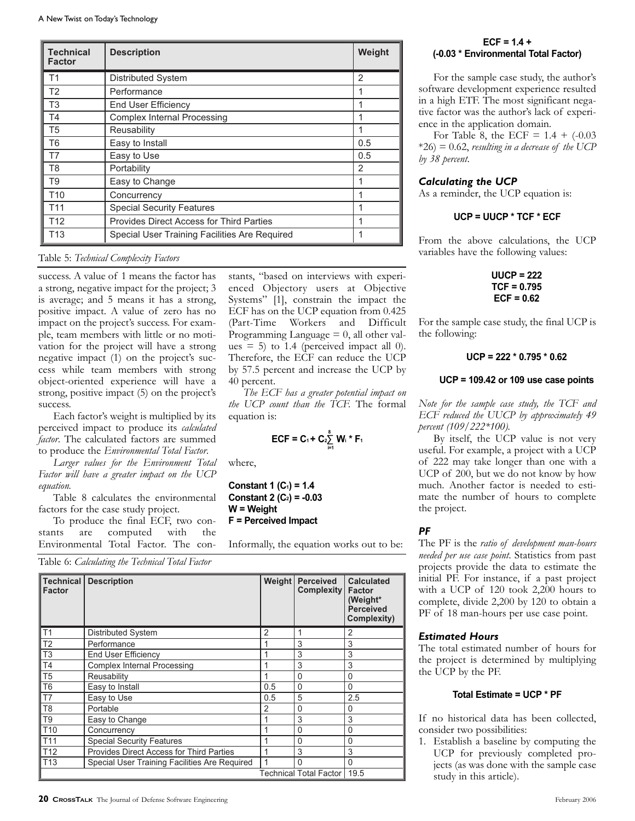| <b>Technical</b><br><b>Factor</b> | <b>Description</b>                                                                                                                                                                       |                                                                                                                                                                     | Weight         | $ECF = 1.4 +$<br>(-0.03 * Environmental To                                                                      |
|-----------------------------------|------------------------------------------------------------------------------------------------------------------------------------------------------------------------------------------|---------------------------------------------------------------------------------------------------------------------------------------------------------------------|----------------|-----------------------------------------------------------------------------------------------------------------|
| T1                                | Distributed System                                                                                                                                                                       |                                                                                                                                                                     | 2              | For the sample case stud                                                                                        |
| T <sub>2</sub>                    | Performance                                                                                                                                                                              |                                                                                                                                                                     | 1              | software development expe                                                                                       |
| T <sub>3</sub>                    | End User Efficiency                                                                                                                                                                      |                                                                                                                                                                     | $\mathbf{1}$   | in a high ETF. The most sig                                                                                     |
| T4                                | <b>Complex Internal Processing</b>                                                                                                                                                       |                                                                                                                                                                     | $\mathbf{1}$   | tive factor was the author's                                                                                    |
| T <sub>5</sub>                    | Reusability                                                                                                                                                                              |                                                                                                                                                                     | $\mathbf{1}$   | ence in the application dom<br>For Table 8, the ECF =                                                           |
| T <sub>6</sub>                    | Easy to Install                                                                                                                                                                          |                                                                                                                                                                     | 0.5            | $*26$ = 0.62, resulting in a decr                                                                               |
| T7                                | Easy to Use                                                                                                                                                                              |                                                                                                                                                                     | 0.5            | by 38 percent.                                                                                                  |
| T <sub>8</sub>                    | Portability                                                                                                                                                                              |                                                                                                                                                                     | $\overline{2}$ |                                                                                                                 |
| T <sub>9</sub>                    | Easy to Change                                                                                                                                                                           |                                                                                                                                                                     | $\mathbf{1}$   | <b>Calculating the UCP</b>                                                                                      |
| T <sub>10</sub>                   | Concurrency                                                                                                                                                                              |                                                                                                                                                                     | $\mathbf{1}$   | As a reminder, the UCP equ                                                                                      |
| T <sub>11</sub>                   | <b>Special Security Features</b>                                                                                                                                                         |                                                                                                                                                                     | $\mathbf{1}$   |                                                                                                                 |
| T <sub>12</sub>                   | Provides Direct Access for Third Parties                                                                                                                                                 |                                                                                                                                                                     | $\mathbf{1}$   | $UCP = UUCP * TCF$                                                                                              |
| T <sub>13</sub>                   | Special User Training Facilities Are Required<br>Table 5: Technical Complexity Factors                                                                                                   |                                                                                                                                                                     | $\mathbf{1}$   | From the above calculation<br>variables have the following                                                      |
|                                   | success. A value of 1 means the factor has<br>a strong, negative impact for the project; 3<br>is average; and 5 means it has a strong,<br>positive impact. A value of zero has no        | stants, "based on interviews with experi-<br>enced Objectory users at Objective<br>Systems" [1], constrain the impact the<br>ECF has on the UCP equation from 0.425 |                | $UUCP = 22$<br>$TCF = 0.79$<br>$ECF = 0.6$                                                                      |
|                                   | mpact on the project's success. For exam-<br>ble, team members with little or no moti-<br>vation for the project will have a strong                                                      | (Part-Time)<br>Workers<br>and<br>Programming Language $= 0$ , all other val-<br>ues $=$ 5) to 1.4 (perceived impact all 0).                                         | Difficult      | For the sample case study, the<br>the following:                                                                |
|                                   | negative impact (1) on the project's suc-<br>cess while team members with strong                                                                                                         | Therefore, the ECF can reduce the UCP<br>by 57.5 percent and increase the UCP by                                                                                    |                | $UCP = 222 * 0.79$                                                                                              |
| success.                          | object-oriented experience will have a<br>strong, positive impact (5) on the project's<br>Each factor's weight is multiplied by its                                                      | 40 percent.<br>The ECF has a greater potential impact on<br>the UCP count than the TCF. The formal<br>equation is:                                                  |                | $UCP = 109.42$ or 109 us<br>Note for the sample case study<br>ECF reduced the UUCP by a                         |
|                                   | berceived impact to produce its calculated<br>factor. The calculated factors are summed<br>to produce the <i>Environmental Total Factor</i> .<br>Larger values for the Environment Total | ECF = C <sub>1</sub> + C <sub>2</sub> <sup>8</sup> W <sub>i</sub> * F <sub>1</sub><br>where,                                                                        |                | percent (109/222*100).<br>By itself, the UCP value<br>useful. For example, a proje<br>of 222 may take longer th |
| eauation.                         | Factor will have a greater impact on the UCP                                                                                                                                             | Constant 1 $(C_1) = 1.4$                                                                                                                                            |                | UCP of 200, but we do not<br>much. Another factor is n                                                          |

## Table 5: *Technical Complexity Factors*

success. A value of 1 means the factor has star a strong, negative impact for the project; 3 is average; and 5 means it has a strong, positive impact. A value of zero has no<br>impact on the project's suggest. For even impact on the project's success. For example, team members with little or no moti-**Factor** vation for the project will have a strong negative impact (1) on the project's success while team members with strong object-oriented experience will have a 40 p strong, positive impact (5) on the project's success. *The ECF has a greater potential impact on*<br> *The ECF has a greater potential impact on the UCP count than the TCF.* The formal T2 Performance 3 3

Each factor's weight is multiplied by its equation is: ECF reduced the UUCP by perceived impact to produce its *calculated*<br>
T<sub>4</sub> Complex number of the series of the series of the series of the series of the series of the series of the series of the series of the series of the series of the series of *factor*. The calculated factors are summed to produce the *Environmental Total Factor*. perceived impact to p

*Larger values for the Environment Total* where, of 222 may take longer *Factor will have a greater impact on the UCP equation*. I allor *win* bar

Table 8 calculates the environmental factors for the case study project.  $W = Weight$   $W = Weight$  the project.

To produce the final  $\overline{ECF}$ , two con-  $F =$  Perceived Impact stants are computed with the Environmental Total Factor. The conthe computed with the security Features of  $\mathsf{P}\mathsf{F}$ 

Table 6: *Calculating the Technical Total Factor*<br>
Table 6: *Calculating the Technical Total Factor* 

| vation for the project will have a strong<br>negative impact (1) on the project's suc-<br>cess while team members with strong<br>object-oriented experience will have a<br>strong, positive impact (5) on the project's<br>success.<br>Each factor's weight is multiplied by its<br>perceived impact to produce its calculated<br>factor. The calculated factors are summed<br>to produce the <i>Environmental Total Factor</i> .<br>Larger values for the Environment Total<br>Factor will have a greater impact on the UCP<br>equation.<br>Table 8 calculates the environmental<br>factors for the case study project.<br>To produce the final ECF, two con-<br>computed<br>with<br>the<br>are<br>stants<br>Environmental Total Factor. The con-<br>Table 6: Calculating the Technical Total Factor |                                                                              |  | ues = 5) to 1.4 (perceived impact all $\theta$ )<br>Therefore, the ECF can reduce the UCI<br>by 57.5 percent and increase the UCP b<br>40 percent.<br>The ECF has a greater potential impact of<br>the UCP count than the TCF. The forma<br>equation is:<br>ECF = C <sub>1</sub> + C <sub>2</sub> <sup>8</sup> / <sub>i=1</sub> W <sub>i</sub> * F <sub>1</sub><br>where,<br>Constant 1 $(C_1) = 1.4$<br>Constant 2 $(C_2) = -0.03$<br>$W = Weight$<br>F = Perceived Impact<br>Informally, the equation works out to be: |                                       |                                                    |  |  |
|-------------------------------------------------------------------------------------------------------------------------------------------------------------------------------------------------------------------------------------------------------------------------------------------------------------------------------------------------------------------------------------------------------------------------------------------------------------------------------------------------------------------------------------------------------------------------------------------------------------------------------------------------------------------------------------------------------------------------------------------------------------------------------------------------------|------------------------------------------------------------------------------|--|--------------------------------------------------------------------------------------------------------------------------------------------------------------------------------------------------------------------------------------------------------------------------------------------------------------------------------------------------------------------------------------------------------------------------------------------------------------------------------------------------------------------------|---------------------------------------|----------------------------------------------------|--|--|
| <b>Technical</b>                                                                                                                                                                                                                                                                                                                                                                                                                                                                                                                                                                                                                                                                                                                                                                                      | <b>Description</b>                                                           |  |                                                                                                                                                                                                                                                                                                                                                                                                                                                                                                                          | Weight Perceived<br><b>Complexity</b> | <b>Calculated</b><br><b>Factor</b>                 |  |  |
| Factor                                                                                                                                                                                                                                                                                                                                                                                                                                                                                                                                                                                                                                                                                                                                                                                                |                                                                              |  |                                                                                                                                                                                                                                                                                                                                                                                                                                                                                                                          |                                       | (Weight*<br><b>Perceived</b><br><b>Complexity)</b> |  |  |
| T1                                                                                                                                                                                                                                                                                                                                                                                                                                                                                                                                                                                                                                                                                                                                                                                                    | Distributed System                                                           |  | $\overline{2}$                                                                                                                                                                                                                                                                                                                                                                                                                                                                                                           | 1                                     | 2                                                  |  |  |
| T <sub>2</sub>                                                                                                                                                                                                                                                                                                                                                                                                                                                                                                                                                                                                                                                                                                                                                                                        | Performance                                                                  |  | 1                                                                                                                                                                                                                                                                                                                                                                                                                                                                                                                        | 3                                     | 3                                                  |  |  |
| T <sub>3</sub>                                                                                                                                                                                                                                                                                                                                                                                                                                                                                                                                                                                                                                                                                                                                                                                        | End User Efficiency                                                          |  | 1                                                                                                                                                                                                                                                                                                                                                                                                                                                                                                                        | 3                                     | 3                                                  |  |  |
| T <sub>4</sub>                                                                                                                                                                                                                                                                                                                                                                                                                                                                                                                                                                                                                                                                                                                                                                                        | <b>Complex Internal Processing</b>                                           |  | 1                                                                                                                                                                                                                                                                                                                                                                                                                                                                                                                        | 3                                     | 3                                                  |  |  |
| T <sub>5</sub>                                                                                                                                                                                                                                                                                                                                                                                                                                                                                                                                                                                                                                                                                                                                                                                        | Reusability                                                                  |  | 1                                                                                                                                                                                                                                                                                                                                                                                                                                                                                                                        | 0                                     | 0                                                  |  |  |
| T <sub>6</sub>                                                                                                                                                                                                                                                                                                                                                                                                                                                                                                                                                                                                                                                                                                                                                                                        | Easy to Install                                                              |  | 0.5                                                                                                                                                                                                                                                                                                                                                                                                                                                                                                                      | 0                                     | 0                                                  |  |  |
| T7                                                                                                                                                                                                                                                                                                                                                                                                                                                                                                                                                                                                                                                                                                                                                                                                    | Easy to Use                                                                  |  | 0.5                                                                                                                                                                                                                                                                                                                                                                                                                                                                                                                      | 5                                     | 2.5                                                |  |  |
| T <sub>8</sub>                                                                                                                                                                                                                                                                                                                                                                                                                                                                                                                                                                                                                                                                                                                                                                                        | Portable                                                                     |  | $\overline{2}$                                                                                                                                                                                                                                                                                                                                                                                                                                                                                                           | 0                                     | 0                                                  |  |  |
| T <sub>9</sub>                                                                                                                                                                                                                                                                                                                                                                                                                                                                                                                                                                                                                                                                                                                                                                                        |                                                                              |  | $\mathbf{1}$                                                                                                                                                                                                                                                                                                                                                                                                                                                                                                             | 3                                     | 3                                                  |  |  |
| T <sub>10</sub>                                                                                                                                                                                                                                                                                                                                                                                                                                                                                                                                                                                                                                                                                                                                                                                       | Easy to Change<br>Concurrency                                                |  | 1                                                                                                                                                                                                                                                                                                                                                                                                                                                                                                                        | $\mathbf 0$                           | $\mathbf 0$                                        |  |  |
| T <sub>11</sub>                                                                                                                                                                                                                                                                                                                                                                                                                                                                                                                                                                                                                                                                                                                                                                                       |                                                                              |  | 1                                                                                                                                                                                                                                                                                                                                                                                                                                                                                                                        | 0                                     | 0                                                  |  |  |
| T <sub>12</sub>                                                                                                                                                                                                                                                                                                                                                                                                                                                                                                                                                                                                                                                                                                                                                                                       | <b>Special Security Features</b><br>Provides Direct Access for Third Parties |  | 1                                                                                                                                                                                                                                                                                                                                                                                                                                                                                                                        | 3                                     | 3                                                  |  |  |
| T <sub>13</sub>                                                                                                                                                                                                                                                                                                                                                                                                                                                                                                                                                                                                                                                                                                                                                                                       | Special User Training Facilities Are Required                                |  |                                                                                                                                                                                                                                                                                                                                                                                                                                                                                                                          | $\Omega$                              | $\mathbf 0$                                        |  |  |

### **ECF = 1.4 + (-0.03 \* Environmental Total Factor)**

For the sample case study, the author's software development experience resulted in a high ETF. The most significant negative factor was the author's lack of experience in the application domain.

For Table 8, the ECF =  $1.4 + (-0.03)$ \*26) = 0.62, *resulting in a decrease of the UCP by 38 percent*.

#### *Calculating the UCP*

As a reminder, the UCP equation is:

### **UCP = UUCP \* TCF \* ECF**

From the above calculations, the UCP variables have the following values:

> **UUCP = 222 TCF = 0.795 ECF = 0.62**

For the sample case study, the final UCP is<br>  $\frac{1}{2}$  **p on**  $\frac{1}{2}$  **Programming I** appeare  $\equiv 0$  all other values the following. the following:

## **UCP = 222 \* 0.795 \* 0.62 Perceived**

#### **UCP = 109.42 or 109 use case points**

*Note for the sample case study, the TCF and ECF reduced the UUCP by approximately 49 percent (109/222\*100).*

By itself, the UCP value is not very  $\frac{20}{2}$  **EGR** = **CR** = **CR** = **CR** = **CR** = **CR** = **CR** = **CR** = **CR** = **CR** = **CR** = **CR** = **CR** = **CR** = **CR** = **CR** = **CR** = **CR** = **CR** = **CR** = **CR** = **CR** = **CR** = **CR** = **CR** = **CR** = **CR** = **CR** = **CR** = **CR** = of 222 may take longer than one with a UCP of 200, but we do not know by how **Constant 1 (C<sub>1</sub>) = 1.4** much. Another factor is needed to estimate the number of hours to complete the project.

#### *PF*

Informally, the equation works out to be: The PF is the *ratio of deveral access for the PF* is the *ratio of deveral* The PF is the *ratio of development man-hours needed per use case point*. Statistics from past projects provide the data to estimate the initial PF. For instance, if a past project with a UCP of 120 took 2,200 hours to complete, divide 2,200 by 120 to obtain a PF of 18 man-hours per use case point.

#### *Estimated Hours*

The total estimated number of hours for the project is determined by multiplying the UCP by the PF.

#### **Total Estimate = UCP \* PF**

If no historical data has been collected, consider two possibilities:

1. Establish a baseline by computing the UCP for previously completed projects (as was done with the sample case study in this article).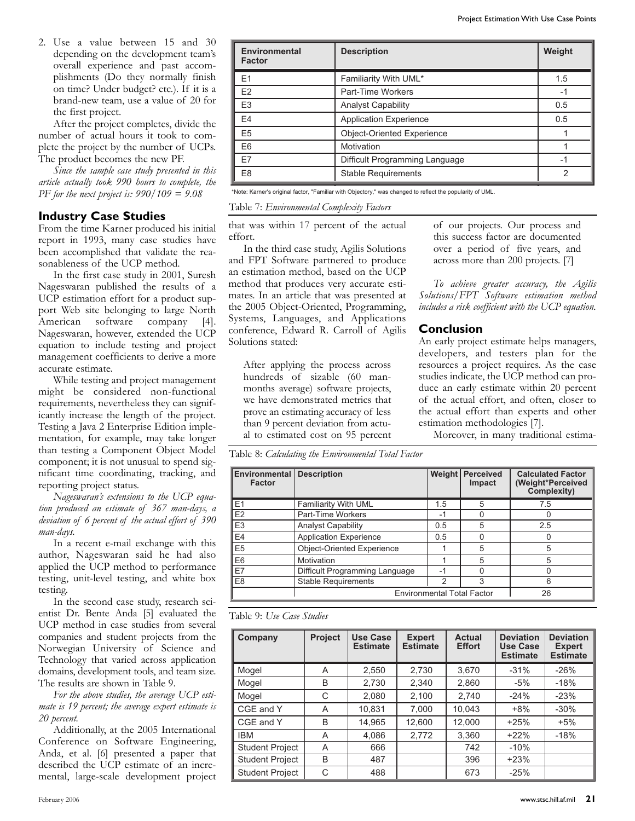2. Use a value between 15 and 30 depending on the development team's overall experience and past accomplishments (Do they normally finish on time? Under budget? etc.). If it is a brand-new team, use a value of 20 for the first project.

After the project completes, divide the number of actual hours it took to complete the project by the number of UCPs. The product becomes the new PF.

*Since the sample case study presented in this article actually took 990 hours to complete, the PF for the next project is: 990/109 = 9.08*

## **Industry Case Studies**

From the time Karner produced his initial report in 1993, many case studies have been accomplished that validate the reasonableness of the UCP method.

In the first case study in 2001, Suresh Nageswaran published the results of a UCP estimation effort for a product support Web site belonging to large North American software company [4]. Nageswaran, however, extended the UCP equation to include testing and project management coefficients to derive a more accurate estimate.

While testing and project management might be considered non-functional requirements, nevertheless they can significantly increase the length of the project. Testing a Java 2 Enterprise Edition implementation, for example, may take longer than testing a Component Object Model component; it is not unusual to spend significant time coordinating, tracking, and reporting project status.

*Nageswaran's extensions to the UCP equation produced an estimate of 367 man-days, a deviation of 6 percent of the actual effort of 390 man-days.*

In a recent e-mail exchange with this author, Nageswaran said he had also applied the UCP method to performance testing, unit-level testing, and white box testing.

In the second case study, research scientist Dr. Bente Anda [5] evaluated the UCP method in case studies from several companies and student projects from the Norwegian University of Science and Technology that varied across application domains, development tools, and team size. The results are shown in Table 9.

*For the above studies, the average UCP estimate is 19 percent; the average expert estimate is 20 percent.*

Additionally, at the 2005 International Conference on Software Engineering, Anda, et al. [6] presented a paper that described the UCP estimate of an incremental, large-scale development project

| Environmental<br><b>Factor</b> | <b>Description</b>                | Weight        |
|--------------------------------|-----------------------------------|---------------|
| E <sub>1</sub>                 | Familiarity With UML*             | 1.5           |
| E <sub>2</sub>                 | Part-Time Workers                 | -1            |
| E <sub>3</sub>                 | <b>Analyst Capability</b>         | 0.5           |
| E <sub>4</sub>                 | <b>Application Experience</b>     | 0.5           |
| E <sub>5</sub>                 | <b>Object-Oriented Experience</b> |               |
| E6                             | Motivation                        |               |
| E7                             | Difficult Programming Language    | -1            |
| E <sub>8</sub>                 | <b>Stable Requirements</b>        | $\mathcal{P}$ |

\*Note: Karner's original factor, "Familiar with Objectory," was changed to reflect the popularity of UML.

## **Conclusion**

| Table 7: Environmental Complexity Factors                                                                                                                                                                                                                                                                                                                                                                                                                                                                                                                                                                                                                                                            |                                              |                             |                                  |                               |  |                                                                                          |  |                                                        |                                                                                                                                                                                                                                                                                                                                                                                                                                                                                                                                                                                                                       |  |
|------------------------------------------------------------------------------------------------------------------------------------------------------------------------------------------------------------------------------------------------------------------------------------------------------------------------------------------------------------------------------------------------------------------------------------------------------------------------------------------------------------------------------------------------------------------------------------------------------------------------------------------------------------------------------------------------------|----------------------------------------------|-----------------------------|----------------------------------|-------------------------------|--|------------------------------------------------------------------------------------------|--|--------------------------------------------------------|-----------------------------------------------------------------------------------------------------------------------------------------------------------------------------------------------------------------------------------------------------------------------------------------------------------------------------------------------------------------------------------------------------------------------------------------------------------------------------------------------------------------------------------------------------------------------------------------------------------------------|--|
| that was within 17 percent of the actual<br>effort.<br>In the third case study, Agilis Solutions<br>and FPT Software partnered to produce<br>an estimation method, based on the UCP<br>method that produces very accurate esti-<br>mates. In an article that was presented at<br>the 2005 Object-Oriented, Programming,<br>Systems, Languages, and Applications<br>conference, Edward R. Carroll of Agilis<br>Solutions stated:<br>After applying the process across<br>hundreds of sizable (60 man-<br>months average) software projects,<br>we have demonstrated metrics that<br>prove an estimating accuracy of less<br>than 9 percent deviation from actu-<br>al to estimated cost on 95 percent |                                              |                             |                                  |                               |  | across more than 200 projects. [7]<br><b>Conclusion</b><br>estimation methodologies [7]. |  |                                                        | of our projects. Our process and<br>this success factor are documented<br>over a period of five years, and<br>To achieve greater accuracy, the Agilis<br>Solutions/FPT Software estimation method<br>includes a risk coefficient with the UCP equation.<br>An early project estimate helps managers,<br>developers, and testers plan for the<br>resources a project requires. As the case<br>studies indicate, the UCP method can pro-<br>duce an early estimate within 20 percent<br>of the actual effort, and often, closer to<br>the actual effort than experts and other<br>Moreover, in many traditional estima- |  |
| Table 8: Calculating the Environmental Total Factor                                                                                                                                                                                                                                                                                                                                                                                                                                                                                                                                                                                                                                                  |                                              |                             |                                  |                               |  |                                                                                          |  |                                                        |                                                                                                                                                                                                                                                                                                                                                                                                                                                                                                                                                                                                                       |  |
| <b>Environmental</b><br><b>Factor</b>                                                                                                                                                                                                                                                                                                                                                                                                                                                                                                                                                                                                                                                                | <b>Description</b>                           |                             |                                  | Weight<br>Perceived<br>Impact |  | <b>Calculated Factor</b><br>(Weight*Perceived<br>Complexity)                             |  |                                                        |                                                                                                                                                                                                                                                                                                                                                                                                                                                                                                                                                                                                                       |  |
| E <sub>1</sub>                                                                                                                                                                                                                                                                                                                                                                                                                                                                                                                                                                                                                                                                                       | Familiarity With UML                         |                             |                                  | 1.5                           |  | 5                                                                                        |  | 7.5                                                    |                                                                                                                                                                                                                                                                                                                                                                                                                                                                                                                                                                                                                       |  |
| E <sub>2</sub>                                                                                                                                                                                                                                                                                                                                                                                                                                                                                                                                                                                                                                                                                       | Part-Time Workers                            |                             |                                  | -1                            |  | 0                                                                                        |  |                                                        | 0                                                                                                                                                                                                                                                                                                                                                                                                                                                                                                                                                                                                                     |  |
| E <sub>3</sub>                                                                                                                                                                                                                                                                                                                                                                                                                                                                                                                                                                                                                                                                                       | <b>Analyst Capability</b>                    |                             |                                  | 0.5                           |  | 5                                                                                        |  | 2.5                                                    |                                                                                                                                                                                                                                                                                                                                                                                                                                                                                                                                                                                                                       |  |
| E4                                                                                                                                                                                                                                                                                                                                                                                                                                                                                                                                                                                                                                                                                                   | <b>Application Experience</b>                |                             |                                  | 0.5                           |  | 0                                                                                        |  |                                                        | 0                                                                                                                                                                                                                                                                                                                                                                                                                                                                                                                                                                                                                     |  |
| E <sub>5</sub>                                                                                                                                                                                                                                                                                                                                                                                                                                                                                                                                                                                                                                                                                       | Object-Oriented Experience                   |                             |                                  | 1                             |  | 5                                                                                        |  |                                                        | 5                                                                                                                                                                                                                                                                                                                                                                                                                                                                                                                                                                                                                     |  |
| E <sub>6</sub><br>E7                                                                                                                                                                                                                                                                                                                                                                                                                                                                                                                                                                                                                                                                                 | Motivation<br>Difficult Programming Language |                             |                                  | 1<br>$-1$                     |  | 5<br>0                                                                                   |  |                                                        | 5<br>0                                                                                                                                                                                                                                                                                                                                                                                                                                                                                                                                                                                                                |  |
| E <sub>8</sub>                                                                                                                                                                                                                                                                                                                                                                                                                                                                                                                                                                                                                                                                                       | <b>Stable Requirements</b>                   |                             |                                  | $\overline{2}$                |  | 3                                                                                        |  |                                                        | 6                                                                                                                                                                                                                                                                                                                                                                                                                                                                                                                                                                                                                     |  |
|                                                                                                                                                                                                                                                                                                                                                                                                                                                                                                                                                                                                                                                                                                      |                                              |                             |                                  |                               |  | <b>Environmental Total Factor</b>                                                        |  |                                                        | 26                                                                                                                                                                                                                                                                                                                                                                                                                                                                                                                                                                                                                    |  |
| Table 9: Use Case Studies                                                                                                                                                                                                                                                                                                                                                                                                                                                                                                                                                                                                                                                                            |                                              |                             |                                  |                               |  |                                                                                          |  |                                                        |                                                                                                                                                                                                                                                                                                                                                                                                                                                                                                                                                                                                                       |  |
| Company                                                                                                                                                                                                                                                                                                                                                                                                                                                                                                                                                                                                                                                                                              | Project                                      | Use Case<br><b>Estimate</b> | <b>Expert</b><br><b>Estimate</b> |                               |  | <b>Actual</b><br><b>Effort</b>                                                           |  | <b>Deviation</b><br><b>Use Case</b><br><b>Estimate</b> | <b>Deviation</b><br><b>Expert</b><br><b>Estimate</b>                                                                                                                                                                                                                                                                                                                                                                                                                                                                                                                                                                  |  |
| Mogel                                                                                                                                                                                                                                                                                                                                                                                                                                                                                                                                                                                                                                                                                                | Α                                            | 2,550                       | 2,730                            |                               |  | 3,670                                                                                    |  | $-31%$                                                 | $-26%$                                                                                                                                                                                                                                                                                                                                                                                                                                                                                                                                                                                                                |  |
| Mogel                                                                                                                                                                                                                                                                                                                                                                                                                                                                                                                                                                                                                                                                                                | B                                            | 2,730                       | 2,340                            |                               |  | 2,860                                                                                    |  | $-5%$                                                  | $-18%$                                                                                                                                                                                                                                                                                                                                                                                                                                                                                                                                                                                                                |  |
| Mogel                                                                                                                                                                                                                                                                                                                                                                                                                                                                                                                                                                                                                                                                                                | C                                            | 2,080                       | 2,100                            |                               |  | 2,740                                                                                    |  | $-24%$                                                 | $-23%$                                                                                                                                                                                                                                                                                                                                                                                                                                                                                                                                                                                                                |  |
| CGE and Y                                                                                                                                                                                                                                                                                                                                                                                                                                                                                                                                                                                                                                                                                            | A                                            | 10,831                      | 7,000                            |                               |  | 10,043                                                                                   |  | $+8%$                                                  | $-30%$                                                                                                                                                                                                                                                                                                                                                                                                                                                                                                                                                                                                                |  |
| CGE and Y                                                                                                                                                                                                                                                                                                                                                                                                                                                                                                                                                                                                                                                                                            | B                                            | 14,965                      | 12,600                           |                               |  | 12,000                                                                                   |  | $+25%$                                                 | $+5%$                                                                                                                                                                                                                                                                                                                                                                                                                                                                                                                                                                                                                 |  |
| <b>IBM</b>                                                                                                                                                                                                                                                                                                                                                                                                                                                                                                                                                                                                                                                                                           | Α                                            | 4,086                       | 2,772                            |                               |  | 3,360                                                                                    |  | $+22%$                                                 | $-18%$                                                                                                                                                                                                                                                                                                                                                                                                                                                                                                                                                                                                                |  |
| <b>Student Project</b>                                                                                                                                                                                                                                                                                                                                                                                                                                                                                                                                                                                                                                                                               | Α                                            | 666                         |                                  |                               |  | 742                                                                                      |  | $-10%$                                                 |                                                                                                                                                                                                                                                                                                                                                                                                                                                                                                                                                                                                                       |  |
| Student Project                                                                                                                                                                                                                                                                                                                                                                                                                                                                                                                                                                                                                                                                                      | <sub>B</sub>                                 | 487                         |                                  |                               |  | 396                                                                                      |  | $+23%$                                                 |                                                                                                                                                                                                                                                                                                                                                                                                                                                                                                                                                                                                                       |  |

## Table 8: *Calculating the Environmental Total Factor* Table 8: *Calculating the Environmental Total Factor* Table 9: *Use Case Studies*

| we have demonstrated methes that<br>prove an estimating accuracy of less<br>than 9 percent deviation from actu-<br>al to estimated cost on 95 percent |                                                              |                                    |                                   |                        |                                |  | estimation methodologies [7].                          | Of the actual chort, and onen, closer to<br>the actual effort than experts and other<br>Moreover, in many traditional estima- |
|-------------------------------------------------------------------------------------------------------------------------------------------------------|--------------------------------------------------------------|------------------------------------|-----------------------------------|------------------------|--------------------------------|--|--------------------------------------------------------|-------------------------------------------------------------------------------------------------------------------------------|
| Table 8: Calculating the Environmental Total Factor<br>Environmental                                                                                  | <b>Description</b>                                           |                                    |                                   | <b>Weight</b>          | <b>Perceived</b>               |  |                                                        | <b>Calculated Factor</b>                                                                                                      |
| <b>Factor</b>                                                                                                                                         |                                                              |                                    |                                   |                        | Impact                         |  |                                                        | (Weight*Perceived<br>Complexity)                                                                                              |
| E <sub>1</sub>                                                                                                                                        | Familiarity With UML                                         |                                    |                                   | 1.5                    | 5                              |  |                                                        | 7.5                                                                                                                           |
| E2                                                                                                                                                    | Part-Time Workers                                            |                                    |                                   | $-1$                   | $\mathbf 0$                    |  |                                                        | $\Omega$                                                                                                                      |
| E <sub>3</sub>                                                                                                                                        | <b>Analyst Capability</b>                                    |                                    |                                   | 0.5                    | 5                              |  |                                                        | 2.5                                                                                                                           |
| E4                                                                                                                                                    | <b>Application Experience</b>                                |                                    |                                   | 0.5                    | 0                              |  |                                                        | 0                                                                                                                             |
| E <sub>5</sub>                                                                                                                                        | Object-Oriented Experience                                   |                                    |                                   | 1                      | 5                              |  |                                                        | 5                                                                                                                             |
| E <sub>6</sub>                                                                                                                                        | Motivation                                                   |                                    |                                   | 1                      | 5                              |  |                                                        | 5                                                                                                                             |
| <b>E7</b><br>E <sub>8</sub>                                                                                                                           | Difficult Programming Language<br><b>Stable Requirements</b> |                                    |                                   | $-1$<br>$\overline{2}$ | 0<br>3                         |  |                                                        | $\overline{0}$<br>6                                                                                                           |
|                                                                                                                                                       |                                                              |                                    | <b>Environmental Total Factor</b> |                        |                                |  | 26                                                     |                                                                                                                               |
|                                                                                                                                                       |                                                              |                                    |                                   |                        |                                |  |                                                        |                                                                                                                               |
| Table 9: Use Case Studies                                                                                                                             |                                                              |                                    |                                   |                        |                                |  |                                                        |                                                                                                                               |
| Company                                                                                                                                               | Project                                                      | <b>Use Case</b><br><b>Estimate</b> | <b>Expert</b><br><b>Estimate</b>  |                        | <b>Actual</b><br><b>Effort</b> |  | <b>Deviation</b><br><b>Use Case</b><br><b>Estimate</b> | <b>Deviation</b><br><b>Expert</b><br><b>Estimate</b>                                                                          |
| Mogel                                                                                                                                                 | A                                                            | 2,550                              | 2,730                             |                        | 3,670                          |  | $-31%$                                                 | $-26%$                                                                                                                        |
| Mogel                                                                                                                                                 | B                                                            | 2,730                              | 2,340                             |                        | 2,860                          |  | $-5%$                                                  | $-18%$                                                                                                                        |
| Mogel                                                                                                                                                 | C                                                            | 2,080                              | 2,100                             |                        | 2,740                          |  | $-24%$                                                 | $-23%$                                                                                                                        |
| CGE and Y                                                                                                                                             | A                                                            | 10,831                             | 7,000                             |                        | 10,043                         |  | $+8%$                                                  | $-30%$                                                                                                                        |
| CGE and Y                                                                                                                                             | B                                                            | 14,965                             | 12,600                            |                        | 12,000                         |  | $+25%$                                                 | $+5%$                                                                                                                         |
| <b>IBM</b>                                                                                                                                            | Α                                                            | 4,086                              | 2,772                             |                        | 3,360                          |  | $+22%$                                                 | $-18%$                                                                                                                        |
| <b>Student Project</b>                                                                                                                                | A                                                            | 666                                |                                   |                        | 742                            |  | $-10%$                                                 |                                                                                                                               |
| <b>Student Project</b>                                                                                                                                | B                                                            | 487                                |                                   |                        | 396                            |  | $+23%$                                                 |                                                                                                                               |
| <b>Student Project</b>                                                                                                                                | C                                                            | 488                                |                                   |                        | 673                            |  | $-25%$                                                 |                                                                                                                               |
|                                                                                                                                                       |                                                              |                                    |                                   |                        |                                |  |                                                        | 21<br>www.stsc.hill.af.mil                                                                                                    |